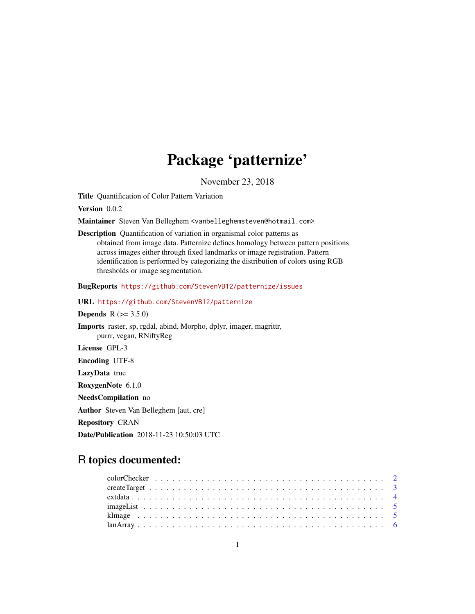# Package 'patternize'

November 23, 2018

<span id="page-0-0"></span>Title Quantification of Color Pattern Variation

Version 0.0.2

Maintainer Steven Van Belleghem <vanbelleghemsteven@hotmail.com>

Description Quantification of variation in organismal color patterns as obtained from image data. Patternize defines homology between pattern positions across images either through fixed landmarks or image registration. Pattern identification is performed by categorizing the distribution of colors using RGB thresholds or image segmentation.

BugReports <https://github.com/StevenVB12/patternize/issues>

URL <https://github.com/StevenVB12/patternize>

**Depends** R  $(>= 3.5.0)$ 

Imports raster, sp, rgdal, abind, Morpho, dplyr, imager, magrittr, purrr, vegan, RNiftyReg

License GPL-3

Encoding UTF-8

LazyData true

RoxygenNote 6.1.0

NeedsCompilation no

Author Steven Van Belleghem [aut, cre]

Repository CRAN

Date/Publication 2018-11-23 10:50:03 UTC

# R topics documented: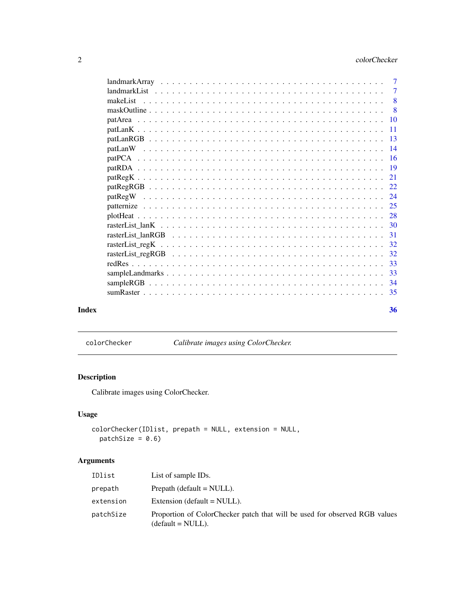<span id="page-1-0"></span>

|       | 8  |
|-------|----|
|       |    |
|       |    |
|       |    |
|       |    |
|       |    |
|       |    |
|       |    |
|       |    |
|       |    |
|       |    |
|       |    |
|       |    |
|       |    |
|       |    |
|       |    |
|       | 32 |
|       |    |
|       | 33 |
|       |    |
|       |    |
| Index | 36 |

colorChecker *Calibrate images using ColorChecker.*

# Description

Calibrate images using ColorChecker.

# Usage

```
colorChecker(IDlist, prepath = NULL, extension = NULL,
  patchSize = 0.6)
```

| IDlist    | List of sample IDs.                                                                               |
|-----------|---------------------------------------------------------------------------------------------------|
| prepath   | Prepath (default $=$ NULL).                                                                       |
| extension | Extension (default $=$ NULL).                                                                     |
| patchSize | Proportion of ColorChecker patch that will be used for observed RGB values<br>$(detault = NULL).$ |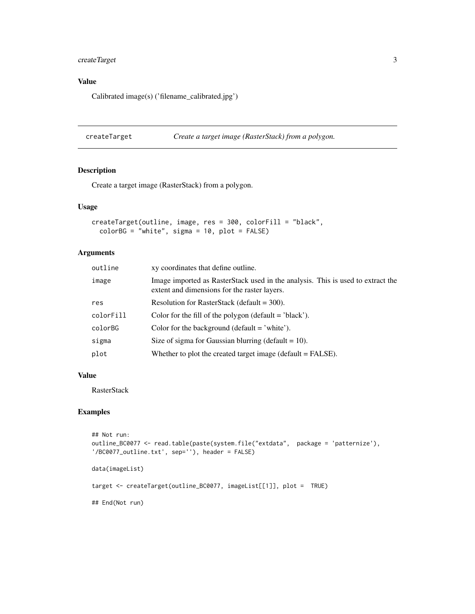# <span id="page-2-0"></span>createTarget 3

# Value

Calibrated image(s) ('filename\_calibrated.jpg')

createTarget *Create a target image (RasterStack) from a polygon.*

# Description

Create a target image (RasterStack) from a polygon.

#### Usage

```
createTarget(outline, image, res = 300, colorFill = "black",
 colorBG = "white", sigma = 10, plot = FALSE)
```
# Arguments

| outline   | xy coordinates that define outline.                                                                                             |
|-----------|---------------------------------------------------------------------------------------------------------------------------------|
| image     | Image imported as RasterStack used in the analysis. This is used to extract the<br>extent and dimensions for the raster layers. |
| res       | Resolution for RasterStack (default = $300$ ).                                                                                  |
| colorFill | Color for the fill of the polygon (default $=$ 'black').                                                                        |
| colorBG   | Color for the background (default $=$ 'white').                                                                                 |
| sigma     | Size of sigma for Gaussian blurring (default $= 10$ ).                                                                          |
| plot      | Whether to plot the created target image (default $=$ FALSE).                                                                   |

# Value

RasterStack

```
## Not run:
outline_BC0077 <- read.table(paste(system.file("extdata", package = 'patternize'),
'/BC0077_outline.txt', sep=''), header = FALSE)
data(imageList)
target <- createTarget(outline_BC0077, imageList[[1]], plot = TRUE)
## End(Not run)
```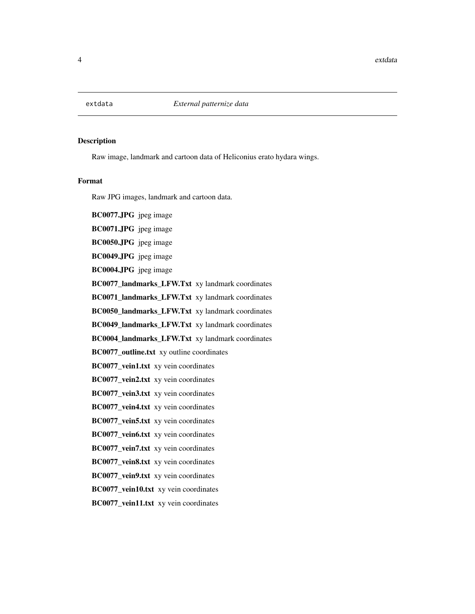<span id="page-3-0"></span>

## Description

Raw image, landmark and cartoon data of Heliconius erato hydara wings.

#### Format

Raw JPG images, landmark and cartoon data.

BC0077.JPG jpeg image BC0071.JPG jpeg image BC0050.JPG jpeg image BC0049.JPG jpeg image BC0004.JPG jpeg image BC0077\_landmarks\_LFW.Txt xy landmark coordinates BC0071\_landmarks\_LFW.Txt xy landmark coordinates BC0050\_landmarks\_LFW.Txt xy landmark coordinates BC0049\_landmarks\_LFW.Txt\_xy landmark coordinates BC0004\_landmarks\_LFW.Txt xy landmark coordinates BC0077\_outline.txt xy outline coordinates BC0077\_vein1.txt xy vein coordinates BC0077\_vein2.txt xy vein coordinates BC0077\_vein3.txt xy vein coordinates BC0077\_vein4.txt xy vein coordinates BC0077\_vein5.txt xy vein coordinates BC0077\_vein6.txt xy vein coordinates BC0077\_vein7.txt xy vein coordinates BC0077\_vein8.txt xy vein coordinates BC0077\_vein9.txt xy vein coordinates BC0077\_vein10.txt xy vein coordinates BC0077\_vein11.txt xy vein coordinates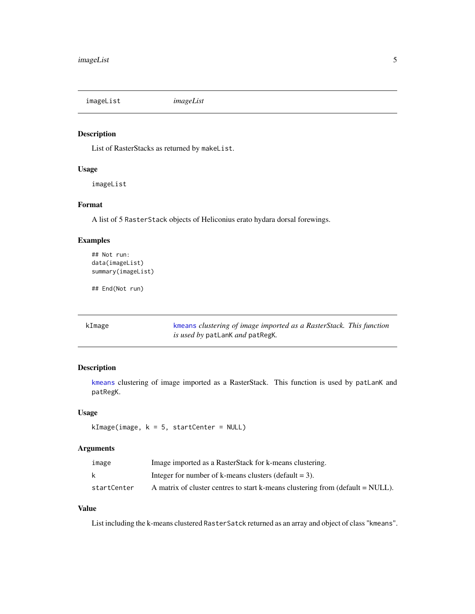<span id="page-4-0"></span>imageList *imageList*

# Description

List of RasterStacks as returned by makeList.

#### Usage

imageList

### Format

A list of 5 RasterStack objects of Heliconius erato hydara dorsal forewings.

#### Examples

```
## Not run:
data(imageList)
summary(imageList)
```
## End(Not run)

kImage [kmeans](#page-0-0) *clustering of image imported as a RasterStack. This function is used by* patLanK *and* patRegK*.*

### Description

[kmeans](#page-0-0) clustering of image imported as a RasterStack. This function is used by patLanK and patRegK.

#### Usage

```
kImage(image, k = 5, startCenter = NULL)
```
# Arguments

| image       | Image imported as a RasterStack for k-means clustering.                          |
|-------------|----------------------------------------------------------------------------------|
|             | Integer for number of k-means clusters (default $= 3$ ).                         |
| startCenter | A matrix of cluster centres to start k-means clustering from (default $=$ NULL). |

# Value

List including the k-means clustered RasterSatck returned as an array and object of class "kmeans".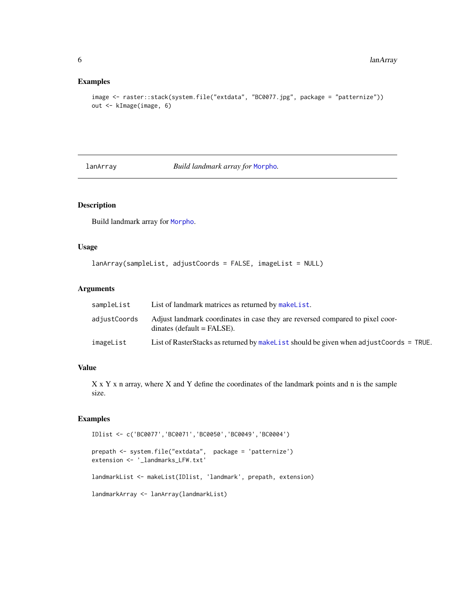## Examples

```
image <- raster::stack(system.file("extdata", "BC0077.jpg", package = "patternize"))
out <- kImage(image, 6)
```
lanArray *Build landmark array for* [Morpho](#page-0-0)*.*

# Description

Build landmark array for [Morpho](#page-0-0).

# Usage

```
lanArray(sampleList, adjustCoords = FALSE, imageList = NULL)
```
#### Arguments

| sampleList   | List of landmark matrices as returned by makelist.                                                            |
|--------------|---------------------------------------------------------------------------------------------------------------|
| adjustCoords | Adjust landmark coordinates in case they are reversed compared to pixel coor-<br>$dinates (default = FALSE).$ |
| imageList    | List of RasterStacks as returned by makelist should be given when adjust Coords = TRUE.                       |

# Value

X x Y x n array, where X and Y define the coordinates of the landmark points and n is the sample size.

```
IDlist <- c('BC0077','BC0071','BC0050','BC0049','BC0004')
prepath <- system.file("extdata", package = 'patternize')
extension <- '_landmarks_LFW.txt'
landmarkList <- makeList(IDlist, 'landmark', prepath, extension)
landmarkArray <- lanArray(landmarkList)
```
<span id="page-5-0"></span>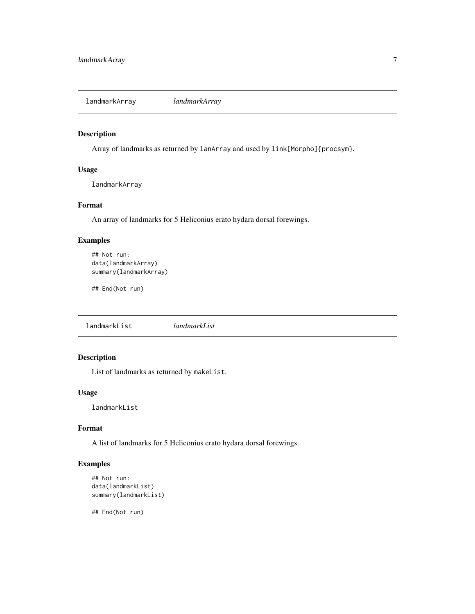<span id="page-6-0"></span>landmarkArray *landmarkArray*

# Description

Array of landmarks as returned by lanArray and used by link[Morpho]{procsym}.

# Usage

landmarkArray

# Format

An array of landmarks for 5 Heliconius erato hydara dorsal forewings.

# Examples

```
## Not run:
data(landmarkArray)
summary(landmarkArray)
```
## End(Not run)

landmarkList *landmarkList*

# Description

List of landmarks as returned by makeList.

# Usage

landmarkList

# Format

A list of landmarks for 5 Heliconius erato hydara dorsal forewings.

### Examples

```
## Not run:
data(landmarkList)
summary(landmarkList)
```
## End(Not run)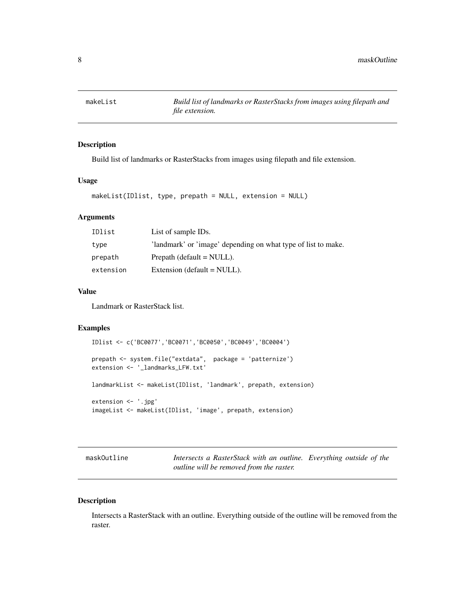<span id="page-7-1"></span><span id="page-7-0"></span>

# Description

Build list of landmarks or RasterStacks from images using filepath and file extension.

#### Usage

```
makeList(IDlist, type, prepath = NULL, extension = NULL)
```
# Arguments

| IDlist    | List of sample IDs.                                           |
|-----------|---------------------------------------------------------------|
| type      | 'landmark' or 'image' depending on what type of list to make. |
| prepath   | Prepath (default $=$ NULL).                                   |
| extension | Extension (default $=$ NULL).                                 |

### Value

Landmark or RasterStack list.

# Examples

```
IDlist <- c('BC0077','BC0071','BC0050','BC0049','BC0004')
prepath <- system.file("extdata", package = 'patternize')
extension <- '_landmarks_LFW.txt'
landmarkList <- makeList(IDlist, 'landmark', prepath, extension)
extension <- '.jpg'
imageList <- makeList(IDlist, 'image', prepath, extension)
```
maskOutline *Intersects a RasterStack with an outline. Everything outside of the outline will be removed from the raster.*

#### Description

Intersects a RasterStack with an outline. Everything outside of the outline will be removed from the raster.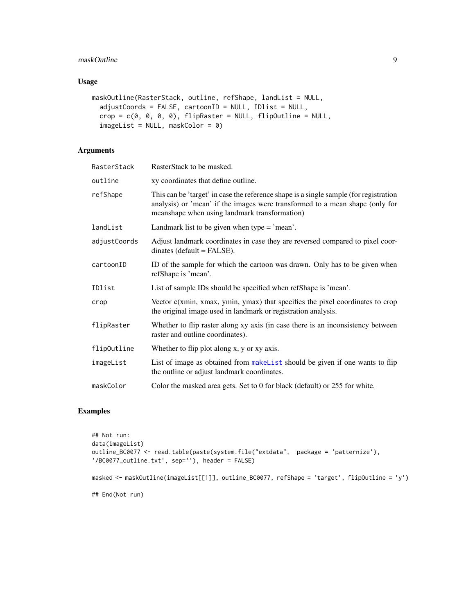# <span id="page-8-0"></span>maskOutline 9

# Usage

```
maskOutline(RasterStack, outline, refShape, landList = NULL,
  adjustCoords = FALSE, cartoonID = NULL, IDlist = NULL,
  crop = c(0, 0, 0, 0), flipRaster = NULL, flipOutline = NULL,
  imageList = NULL, maskColor = 0)
```
# Arguments

| RasterStack  | RasterStack to be masked.                                                                                                                                                                                              |
|--------------|------------------------------------------------------------------------------------------------------------------------------------------------------------------------------------------------------------------------|
| outline      | xy coordinates that define outline.                                                                                                                                                                                    |
| refShape     | This can be 'target' in case the reference shape is a single sample (for registration<br>analysis) or 'mean' if the images were transformed to a mean shape (only for<br>meanshape when using landmark transformation) |
| landList     | Landmark list to be given when type $=$ 'mean'.                                                                                                                                                                        |
| adjustCoords | Adjust landmark coordinates in case they are reversed compared to pixel coor-<br>$dinates (default = FALSE).$                                                                                                          |
| cartoonID    | ID of the sample for which the cartoon was drawn. Only has to be given when<br>refShape is 'mean'.                                                                                                                     |
| IDlist       | List of sample IDs should be specified when refShape is 'mean'.                                                                                                                                                        |
| crop         | Vector $c(xmin, xmax, ymin, ymax)$ that specifies the pixel coordinates to crop<br>the original image used in landmark or registration analysis.                                                                       |
| flipRaster   | Whether to flip raster along xy axis (in case there is an inconsistency between<br>raster and outline coordinates).                                                                                                    |
| flipOutline  | Whether to flip plot along x, y or xy axis.                                                                                                                                                                            |
| imageList    | List of image as obtained from makelist should be given if one wants to flip<br>the outline or adjust landmark coordinates.                                                                                            |
| maskColor    | Color the masked area gets. Set to 0 for black (default) or 255 for white.                                                                                                                                             |

```
## Not run:
data(imageList)
outline_BC0077 <- read.table(paste(system.file("extdata", package = 'patternize'),
'/BC0077_outline.txt', sep=''), header = FALSE)
masked <- maskOutline(imageList[[1]], outline_BC0077, refShape = 'target', flipOutline = 'y')
## End(Not run)
```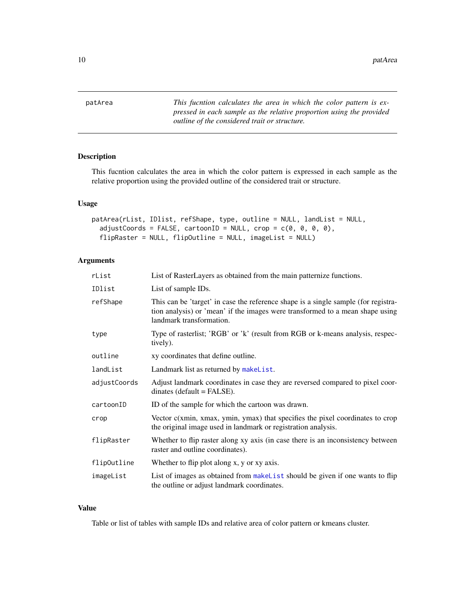<span id="page-9-0"></span>10 patArea

patArea *This fucntion calculates the area in which the color pattern is expressed in each sample as the relative proportion using the provided outline of the considered trait or structure.*

# Description

This fucntion calculates the area in which the color pattern is expressed in each sample as the relative proportion using the provided outline of the considered trait or structure.

# Usage

```
patArea(rList, IDlist, refShape, type, outline = NULL, landList = NULL,
  adjustCoordinates = FALSE, cartoonID = NULL, crop = c(0, 0, 0, 0),flipRaster = NULL, flipOutline = NULL, imageList = NULL)
```
# Arguments

| rList        | List of RasterLayers as obtained from the main patternize functions.                                                                                                                            |
|--------------|-------------------------------------------------------------------------------------------------------------------------------------------------------------------------------------------------|
| IDlist       | List of sample IDs.                                                                                                                                                                             |
| refShape     | This can be 'target' in case the reference shape is a single sample (for registra-<br>tion analysis) or 'mean' if the images were transformed to a mean shape using<br>landmark transformation. |
| type         | Type of rasterlist; 'RGB' or 'k' (result from RGB or k-means analysis, respec-<br>tively).                                                                                                      |
| outline      | xy coordinates that define outline.                                                                                                                                                             |
| landList     | Landmark list as returned by makelist.                                                                                                                                                          |
| adjustCoords | Adjust landmark coordinates in case they are reversed compared to pixel coor-<br>$dinates (default = FALSE).$                                                                                   |
| cartoonID    | ID of the sample for which the cartoon was drawn.                                                                                                                                               |
| crop         | Vector $c(xmin, xmax, ymin, ymax)$ that specifies the pixel coordinates to crop<br>the original image used in landmark or registration analysis.                                                |
| flipRaster   | Whether to flip raster along xy axis (in case there is an inconsistency between<br>raster and outline coordinates).                                                                             |
| flip0utline  | Whether to flip plot along x, y or xy axis.                                                                                                                                                     |
| imageList    | List of images as obtained from makelist should be given if one wants to flip<br>the outline or adjust landmark coordinates.                                                                    |

# Value

Table or list of tables with sample IDs and relative area of color pattern or kmeans cluster.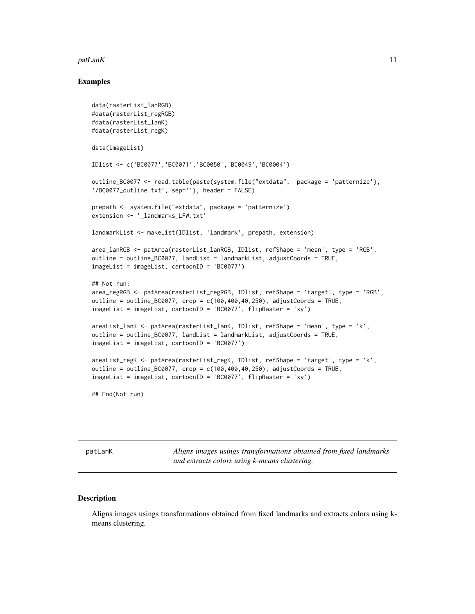#### <span id="page-10-0"></span> $p$ atLanK 11

#### Examples

```
data(rasterList_lanRGB)
#data(rasterList_regRGB)
#data(rasterList_lanK)
#data(rasterList_regK)
data(imageList)
IDlist <- c('BC0077','BC0071','BC0050','BC0049','BC0004')
outline_BC0077 <- read.table(paste(system.file("extdata", package = 'patternize'),
'/BC0077_outline.txt', sep=''), header = FALSE)
prepath <- system.file("extdata", package = 'patternize')
extension <- '_landmarks_LFW.txt'
landmarkList <- makeList(IDlist, 'landmark', prepath, extension)
area_lanRGB <- patArea(rasterList_lanRGB, IDlist, refShape = 'mean', type = 'RGB',
outline = outline_BC0077, landList = landmarkList, adjustCoords = TRUE,
imageList = imageList, cartoonID = 'BC0077')
## Not run:
area_regRGB <- patArea(rasterList_regRGB, IDlist, refShape = 'target', type = 'RGB',
outline = outline_BC0077, crop = c(100, 400, 40, 250), adjustCoords = TRUE,
imageList = imageList, cartoonID = 'BC0077', flipRaster = 'xy')
areaList_lanK <- patArea(rasterList_lanK, IDlist, refShape = 'mean', type = 'k',
outline = outline_BC0077, landList = landmarkList, adjustCoords = TRUE,
imageList = imageList, cartoonID = 'BC0077')
areaList_regK <- patArea(rasterList_regK, IDlist, refShape = 'target', type = 'k',
outline = outline_BC0077, crop = c(100, 400, 40, 250), adjustCoords = TRUE,
imageList = imageList, cartoonID = 'BC0077', flipRaster = 'xy')
## End(Not run)
```
patLanK *Aligns images usings transformations obtained from fixed landmarks and extracts colors using k-means clustering.*

# Description

Aligns images usings transformations obtained from fixed landmarks and extracts colors using kmeans clustering.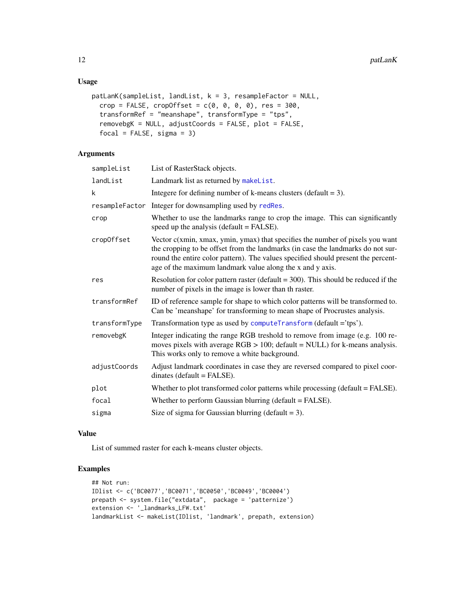# <span id="page-11-0"></span>Usage

```
patLanK(sampleList, landList, k = 3, resampleFactor = NULL,
 crop = FALSE, cropOffset = c(0, 0, 0, 0), res = 300,transformRef = "meanshape", transformType = "tps",
  removebgK = NULL, adjustCoords = FALSE, plot = FALSE,
  focal = FALSE, sigma = 3)
```
# Arguments

| sampleList    | List of RasterStack objects.                                                                                                                                                                                                                                                                                         |
|---------------|----------------------------------------------------------------------------------------------------------------------------------------------------------------------------------------------------------------------------------------------------------------------------------------------------------------------|
| landList      | Landmark list as returned by makeList.                                                                                                                                                                                                                                                                               |
| k             | Integere for defining number of k-means clusters (default $=$ 3).                                                                                                                                                                                                                                                    |
|               | resampleFactor Integer for downsampling used by redRes.                                                                                                                                                                                                                                                              |
| crop          | Whether to use the landmarks range to crop the image. This can significantly<br>speed up the analysis (default $=$ FALSE).                                                                                                                                                                                           |
| cropOffset    | Vector $c(xmin, xmax, ymin, ymax)$ that specifies the number of pixels you want<br>the cropping to be offset from the landmarks (in case the landmarks do not sur-<br>round the entire color pattern). The values specified should present the percent-<br>age of the maximum landmark value along the x and y axis. |
| res           | Resolution for color pattern raster (default $=$ 300). This should be reduced if the<br>number of pixels in the image is lower than th raster.                                                                                                                                                                       |
| transformRef  | ID of reference sample for shape to which color patterns will be transformed to.<br>Can be 'meanshape' for transforming to mean shape of Procrustes analysis.                                                                                                                                                        |
| transformType | Transformation type as used by computeTransform (default ='tps').                                                                                                                                                                                                                                                    |
| removebgK     | Integer indicating the range RGB treshold to remove from image (e.g. 100 re-<br>moves pixels with average $RGB > 100$ ; default = NULL) for k-means analysis.<br>This works only to remove a white background.                                                                                                       |
| adjustCoords  | Adjust landmark coordinates in case they are reversed compared to pixel coor-<br>$dinates (default = FALSE).$                                                                                                                                                                                                        |
| plot          | Whether to plot transformed color patterns while processing (default = FALSE).                                                                                                                                                                                                                                       |
| focal         | Whether to perform Gaussian blurring (default = FALSE).                                                                                                                                                                                                                                                              |
| sigma         | Size of sigma for Gaussian blurring (default = 3).                                                                                                                                                                                                                                                                   |

#### Value

List of summed raster for each k-means cluster objects.

```
## Not run:
IDlist <- c('BC0077','BC0071','BC0050','BC0049','BC0004')
prepath <- system.file("extdata", package = 'patternize')
extension <- '_landmarks_LFW.txt'
landmarkList <- makeList(IDlist, 'landmark', prepath, extension)
```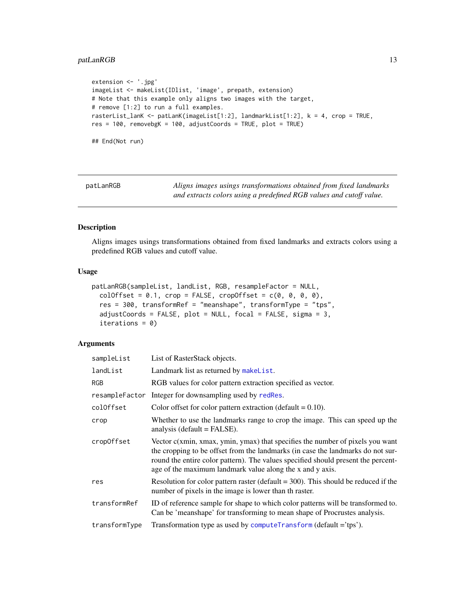# <span id="page-12-0"></span>patLanRGB 13

```
extension <- '.jpg'
imageList <- makeList(IDlist, 'image', prepath, extension)
# Note that this example only aligns two images with the target,
# remove [1:2] to run a full examples.
rasterList_lanK <- patLanK(imageList[1:2], landmarkList[1:2], k = 4, crop = TRUE,
res = 100, removebgK = 100, adjustCoords = TRUE, plot = TRUE)
## End(Not run)
```
patLanRGB *Aligns images usings transformations obtained from fixed landmarks and extracts colors using a predefined RGB values and cutoff value.*

#### Description

Aligns images usings transformations obtained from fixed landmarks and extracts colors using a predefined RGB values and cutoff value.

#### Usage

```
patLanRGB(sampleList, landList, RGB, resampleFactor = NULL,
 colOffset = 0.1, crop = FALSE, cropOffset = c(0, 0, 0, 0),
 res = 300, transformRef = "meanshape", transformType = "tps",
 adjustCoords = FALSE, plot = NULL, focal = FALSE, sigma = 3,iterations = 0)
```

| sampleList    | List of RasterStack objects.                                                                                                                                                                                                                                                                                         |
|---------------|----------------------------------------------------------------------------------------------------------------------------------------------------------------------------------------------------------------------------------------------------------------------------------------------------------------------|
| landList      | Landmark list as returned by makelist.                                                                                                                                                                                                                                                                               |
| <b>RGB</b>    | RGB values for color pattern extraction specified as vector.                                                                                                                                                                                                                                                         |
|               | resampleFactor Integer for downsampling used by redRes.                                                                                                                                                                                                                                                              |
| colOffset     | Color offset for color pattern extraction (default $= 0.10$ ).                                                                                                                                                                                                                                                       |
| crop          | Whether to use the landmarks range to crop the image. This can speed up the<br>analysis (default $=$ FALSE).                                                                                                                                                                                                         |
| cropOffset    | Vector $c(xmin, xmax, ymin, ymax)$ that specifies the number of pixels you want<br>the cropping to be offset from the landmarks (in case the landmarks do not sur-<br>round the entire color pattern). The values specified should present the percent-<br>age of the maximum landmark value along the x and y axis. |
| res           | Resolution for color pattern raster (default $=$ 300). This should be reduced if the<br>number of pixels in the image is lower than th raster.                                                                                                                                                                       |
| transformRef  | ID of reference sample for shape to which color patterns will be transformed to.<br>Can be 'meanshape' for transforming to mean shape of Procrustes analysis.                                                                                                                                                        |
| transformType | Transformation type as used by computeTransform (default ='tps').                                                                                                                                                                                                                                                    |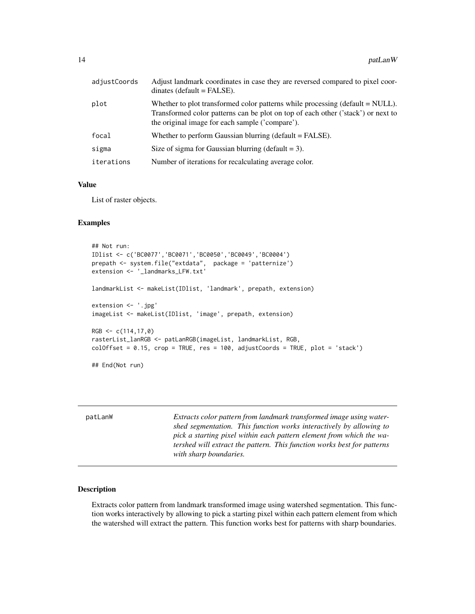<span id="page-13-0"></span>

| adjustCoords | Adjust landmark coordinates in case they are reversed compared to pixel coor-<br>$dinates (default = FALSE).$                                                                                                          |
|--------------|------------------------------------------------------------------------------------------------------------------------------------------------------------------------------------------------------------------------|
| plot         | Whether to plot transformed color patterns while processing (default $=$ NULL).<br>Transformed color patterns can be plot on top of each other ('stack') or next to<br>the original image for each sample ('compare'). |
| focal        | Whether to perform Gaussian blurring (default $=$ FALSE).                                                                                                                                                              |
| sigma        | Size of sigma for Gaussian blurring (default $= 3$ ).                                                                                                                                                                  |
| iterations   | Number of iterations for recalculating average color.                                                                                                                                                                  |

#### Value

List of raster objects.

# Examples

```
## Not run:
IDlist <- c('BC0077','BC0071','BC0050','BC0049','BC0004')
prepath <- system.file("extdata", package = 'patternize')
extension <- '_landmarks_LFW.txt'
landmarkList <- makeList(IDlist, 'landmark', prepath, extension)
extension <- '.jpg'
imageList <- makeList(IDlist, 'image', prepath, extension)
RGB < -c(114, 17, 0)rasterList_lanRGB <- patLanRGB(imageList, landmarkList, RGB,
coloffset = 0.15, crop = TRUE, res = 100, adjustCords = TRUE, plot = 'stack')## End(Not run)
```

| patLanW | Extracts color pattern from landmark transformed image using water-<br>shed segmentation. This function works interactively by allowing to<br>pick a starting pixel within each pattern element from which the wa-<br>tershed will extract the pattern. This function works best for patterns<br>with sharp boundaries. |
|---------|-------------------------------------------------------------------------------------------------------------------------------------------------------------------------------------------------------------------------------------------------------------------------------------------------------------------------|
|         |                                                                                                                                                                                                                                                                                                                         |

#### Description

Extracts color pattern from landmark transformed image using watershed segmentation. This function works interactively by allowing to pick a starting pixel within each pattern element from which the watershed will extract the pattern. This function works best for patterns with sharp boundaries.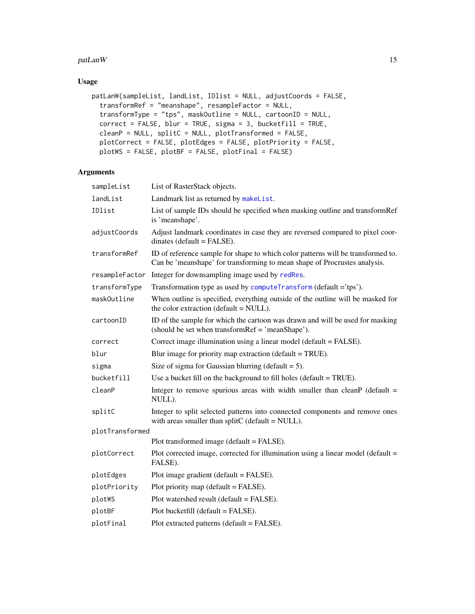#### <span id="page-14-0"></span>patLanW 15

# Usage

```
patLanW(sampleList, landList, IDlist = NULL, adjustCoords = FALSE,
  transformRef = "meanshape", resampleFactor = NULL,
  transformType = "tps", maskOutline = NULL, cartoonID = NULL,
 correct = FALSE, blur = TRUE, sigma = 3, bucketfill = TRUE,
 cleanP = NULL, splitC = NULL, plotTransformed = FALSE,
 plotCorrect = FALSE, plotEdges = FALSE, plotPriority = FALSE,
 plotWS = FALSE, plotBF = FALSE, plotFinal = FALSE)
```

| sampleList      | List of RasterStack objects.                                                                                                                                  |
|-----------------|---------------------------------------------------------------------------------------------------------------------------------------------------------------|
| landList        | Landmark list as returned by makeList.                                                                                                                        |
| IDlist          | List of sample IDs should be specified when masking outline and transformRef<br>is 'meanshape'.                                                               |
| adjustCoords    | Adjust landmark coordinates in case they are reversed compared to pixel coor-<br>$dinates (default = FALSE).$                                                 |
| transformRef    | ID of reference sample for shape to which color patterns will be transformed to.<br>Can be 'meanshape' for transforming to mean shape of Procrustes analysis. |
| resampleFactor  | Integer for downsampling image used by redRes.                                                                                                                |
| transformType   | Transformation type as used by computeTransform (default ='tps').                                                                                             |
| maskOutline     | When outline is specified, everything outside of the outline will be masked for<br>the color extraction (default = NULL).                                     |
| cartoonID       | ID of the sample for which the cartoon was drawn and will be used for masking<br>(should be set when transformRef = 'meanShape').                             |
| correct         | Correct image illumination using a linear model (default = FALSE).                                                                                            |
| blur            | Blur image for priority map extraction (default = TRUE).                                                                                                      |
| sigma           | Size of sigma for Gaussian blurring (default $= 5$ ).                                                                                                         |
| bucketfill      | Use a bucket fill on the background to fill holes (default = TRUE).                                                                                           |
| cleanP          | Integer to remove spurious areas with width smaller than cleanP ( $\text{default} =$<br>NULL).                                                                |
| splitC          | Integer to split selected patterns into connected components and remove ones<br>with areas smaller than splitC (default = NULL).                              |
| plotTransformed |                                                                                                                                                               |
|                 | Plot transformed image (default = FALSE).                                                                                                                     |
| plotCorrect     | Plot corrected image, corrected for illumination using a linear model (default $=$<br>FALSE).                                                                 |
| plotEdges       | Plot image gradient (default = FALSE).                                                                                                                        |
| plotPriority    | Plot priority map (default = FALSE).                                                                                                                          |
| plotWS          | Plot watershed result (default = FALSE).                                                                                                                      |
| plotBF          | Plot bucketfill (default = FALSE).                                                                                                                            |
| plotFinal       | Plot extracted patterns (default = FALSE).                                                                                                                    |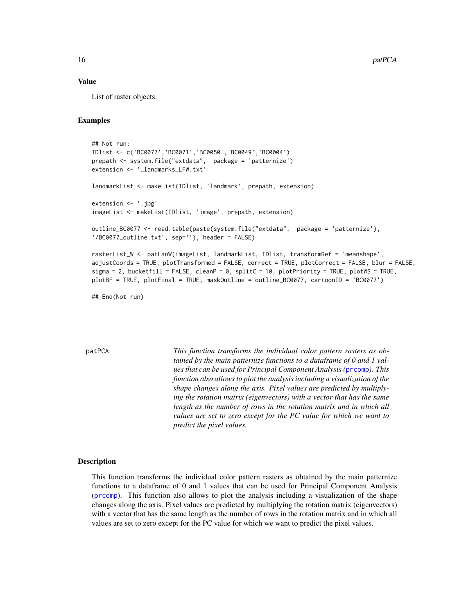#### Value

List of raster objects.

#### Examples

```
## Not run:
IDlist <- c('BC0077','BC0071','BC0050','BC0049','BC0004')
prepath <- system.file("extdata", package = 'patternize')
extension <- '_landmarks_LFW.txt'
landmarkList <- makeList(IDlist, 'landmark', prepath, extension)
extension <- '.jpg'
imageList <- makeList(IDlist, 'image', prepath, extension)
outline_BC0077 <- read.table(paste(system.file("extdata", package = 'patternize'),
'/BC0077_outline.txt', sep=''), header = FALSE)
rasterList_W <- patLanW(imageList, landmarkList, IDlist, transformRef = 'meanshape',
adjustCoords = TRUE, plotTransformed = FALSE, correct = TRUE, plotCorrect = FALSE, blur = FALSE,
sigma = 2, bucketfill = FALSE, cleanP = 0, splitC = 10, plotPriority = TRUE, plotWS = TRUE,
```
plotBF = TRUE, plotFinal = TRUE, maskOutline = outline\_BC0077, cartoonID = 'BC0077')

## End(Not run)

<span id="page-15-1"></span>patPCA *This function transforms the individual color pattern rasters as obtained by the main patternize functions to a dataframe of 0 and 1 values that can be used for Principal Component Analysis (*[prcomp](#page-0-0)*). This function also allows to plot the analysis including a visualization of the shape changes along the axis. Pixel values are predicted by multiplying the rotation matrix (eigenvectors) with a vector that has the same length as the number of rows in the rotation matrix and in which all values are set to zero except for the PC value for which we want to predict the pixel values.*

#### **Description**

This function transforms the individual color pattern rasters as obtained by the main patternize functions to a dataframe of 0 and 1 values that can be used for Principal Component Analysis ([prcomp](#page-0-0)). This function also allows to plot the analysis including a visualization of the shape changes along the axis. Pixel values are predicted by multiplying the rotation matrix (eigenvectors) with a vector that has the same length as the number of rows in the rotation matrix and in which all values are set to zero except for the PC value for which we want to predict the pixel values.

<span id="page-15-0"></span>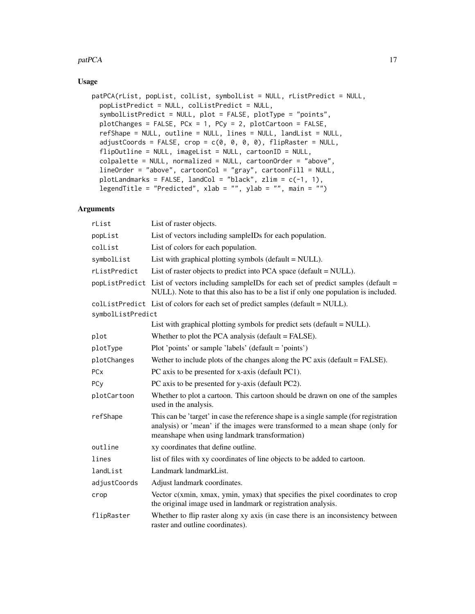#### patPCA and the state of the state of the state of the state of the state of the state of the state of the state of the state of the state of the state of the state of the state of the state of the state of the state of the

# Usage

```
patPCA(rList, popList, colList, symbolList = NULL, rListPredict = NULL,
 popListPredict = NULL, colListPredict = NULL,
  symbolListPredict = NULL, plot = FALSE, plotType = "points",
 plotChanges = FALSE, PCx = 1, PCy = 2, plotCartoon = FALSE,
  refShape = NULL, outline = NULL, lines = NULL, landList = NULL,
  adjustCoords = FALSE, crop = c(0, 0, 0, 0), flipRaster = NULL,flipOutline = NULL, imageList = NULL, cartoonID = NULL,
  colpalette = NULL, normalized = NULL, cartoonOrder = "above",
  lineOrder = "above", cartoonCol = "gray", cartoonFill = NULL,
 plotLandmarks = FALSE, landCol = "black", zlim = c(-1, 1),
  legendTitle = "Predicted", xlab = "", ylab = "", main = "")
```

| rList                 | List of raster objects.                                                                                                                                                                                                |  |
|-----------------------|------------------------------------------------------------------------------------------------------------------------------------------------------------------------------------------------------------------------|--|
| popList               | List of vectors including sampleIDs for each population.                                                                                                                                                               |  |
| collist               | List of colors for each population.                                                                                                                                                                                    |  |
| symbolList            | List with graphical plotting symbols (default = NULL).                                                                                                                                                                 |  |
| rListPredict          | List of raster objects to predict into PCA space (default = NULL).                                                                                                                                                     |  |
|                       | popListPredict List of vectors including sampleIDs for each set of predict samples (default =<br>NULL). Note to that this also has to be a list if only one population is included.                                    |  |
| symbolListPredict     | collistPredict List of colors for each set of predict samples (default = NULL).                                                                                                                                        |  |
|                       | List with graphical plotting symbols for predict sets (default $= NULL$ ).                                                                                                                                             |  |
| plot                  | Whether to plot the PCA analysis (default $=$ FALSE).                                                                                                                                                                  |  |
| plotType              | Plot 'points' or sample 'labels' (default = 'points')                                                                                                                                                                  |  |
| plotChanges           | Wether to include plots of the changes along the PC axis ( $\text{default} = \text{FALSE}$ ).                                                                                                                          |  |
| <b>PC<sub>x</sub></b> | PC axis to be presented for x-axis (default PC1).                                                                                                                                                                      |  |
| PCy                   | PC axis to be presented for y-axis (default PC2).                                                                                                                                                                      |  |
| plotCartoon           | Whether to plot a cartoon. This cartoon should be drawn on one of the samples<br>used in the analysis.                                                                                                                 |  |
| refShape              | This can be 'target' in case the reference shape is a single sample (for registration<br>analysis) or 'mean' if the images were transformed to a mean shape (only for<br>meanshape when using landmark transformation) |  |
| outline               | xy coordinates that define outline.                                                                                                                                                                                    |  |
| lines                 | list of files with xy coordinates of line objects to be added to cartoon.                                                                                                                                              |  |
| landList              | Landmark landmarkList.                                                                                                                                                                                                 |  |
| adjustCoords          | Adjust landmark coordinates.                                                                                                                                                                                           |  |
| crop                  | Vector $c(xmin, xmax, ymin, ymax)$ that specifies the pixel coordinates to crop<br>the original image used in landmark or registration analysis.                                                                       |  |
| flipRaster            | Whether to flip raster along xy axis (in case there is an inconsistency between<br>raster and outline coordinates).                                                                                                    |  |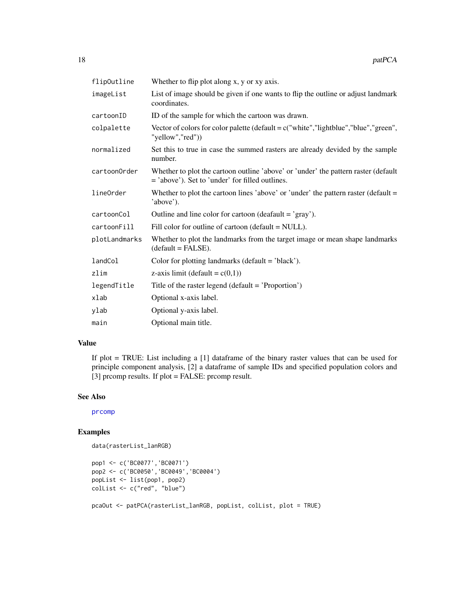<span id="page-17-0"></span>

| flip0utline   | Whether to flip plot along x, y or xy axis.                                                                                           |
|---------------|---------------------------------------------------------------------------------------------------------------------------------------|
| imageList     | List of image should be given if one wants to flip the outline or adjust landmark<br>coordinates.                                     |
| cartoonID     | ID of the sample for which the cartoon was drawn.                                                                                     |
| colpalette    | Vector of colors for color palette (default = $c$ ("white", "lightblue", "blue", "green",<br>"yellow","red"))                         |
| normalized    | Set this to true in case the summed rasters are already devided by the sample<br>number.                                              |
| cartoonOrder  | Whether to plot the cartoon outline 'above' or 'under' the pattern raster (default<br>= 'above'). Set to 'under' for filled outlines. |
| lineOrder     | Whether to plot the cartoon lines 'above' or 'under' the pattern raster (default $=$<br>'above').                                     |
| cartoonCol    | Outline and line color for cartoon (deafault = 'gray').                                                                               |
| cartoonFill   | Fill color for outline of cartoon (default = NULL).                                                                                   |
| plotLandmarks | Whether to plot the landmarks from the target image or mean shape landmarks<br>$(detault = FALSE).$                                   |
| landCol       | Color for plotting landmarks ( $default = 'black'.$ ).                                                                                |
| zlim          | z-axis limit (default = $c(0,1)$ )                                                                                                    |
| legendTitle   | Title of the raster legend (default = 'Proportion')                                                                                   |
| xlab          | Optional x-axis label.                                                                                                                |
| ylab          | Optional y-axis label.                                                                                                                |
| main          | Optional main title.                                                                                                                  |

#### Value

If plot = TRUE: List including a [1] dataframe of the binary raster values that can be used for principle component analysis, [2] a dataframe of sample IDs and specified population colors and [3] prcomp results. If plot = FALSE: prcomp result.

# See Also

[prcomp](#page-0-0)

```
data(rasterList_lanRGB)
```

```
pop1 <- c('BC0077','BC0071')
pop2 <- c('BC0050','BC0049','BC0004')
popList <- list(pop1, pop2)
colList <- c("red", "blue")
pcaOut <- patPCA(rasterList_lanRGB, popList, colList, plot = TRUE)
```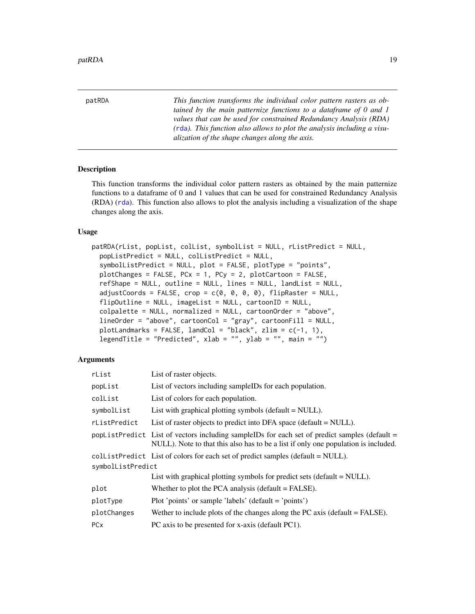<span id="page-18-0"></span>patRDA *This function transforms the individual color pattern rasters as obtained by the main patternize functions to a dataframe of 0 and 1 values that can be used for constrained Redundancy Analysis (RDA) (*[rda](#page-0-0)*). This function also allows to plot the analysis including a visualization of the shape changes along the axis.*

# Description

This function transforms the individual color pattern rasters as obtained by the main patternize functions to a dataframe of 0 and 1 values that can be used for constrained Redundancy Analysis (RDA) ([rda](#page-0-0)). This function also allows to plot the analysis including a visualization of the shape changes along the axis.

#### Usage

patRDA(rList, popList, colList, symbolList = NULL, rListPredict = NULL, popListPredict = NULL, colListPredict = NULL, symbolListPredict = NULL, plot = FALSE, plotType = "points", plotChanges = FALSE, PCx = 1, PCy = 2, plotCartoon = FALSE, refShape = NULL, outline = NULL, lines = NULL, landList = NULL,  $adjustCoords = FALSE, crop = c(0, 0, 0, 0), flipRaster = NULL,$ flipOutline = NULL, imageList = NULL, cartoonID = NULL, colpalette = NULL, normalized = NULL, cartoonOrder = "above",  $lineOrder = "above", cartoonCol = "gray", cartoonFill = NULL,$ plotLandmarks = FALSE, landCol = "black", zlim =  $c(-1, 1)$ , legendTitle = "Predicted", xlab = "", ylab = "", main = "")

| rList             | List of raster objects.                                                                                                                                                             |  |
|-------------------|-------------------------------------------------------------------------------------------------------------------------------------------------------------------------------------|--|
| popList           | List of vectors including sampleIDs for each population.                                                                                                                            |  |
| colList           | List of colors for each population.                                                                                                                                                 |  |
| symbolList        | List with graphical plotting symbols (default $=$ NULL).                                                                                                                            |  |
| rListPredict      | List of raster objects to predict into DFA space (default $= NULL$ ).                                                                                                               |  |
|                   | popListPredict List of vectors including sampleIDs for each set of predict samples (default =<br>NULL). Note to that this also has to be a list if only one population is included. |  |
|                   | collistPredict List of colors for each set of predict samples (default = NULL).                                                                                                     |  |
| symbolListPredict |                                                                                                                                                                                     |  |
|                   | List with graphical plotting symbols for predict sets (default $= NULL$ ).                                                                                                          |  |
| plot              | Whether to plot the PCA analysis (default $=$ FALSE).                                                                                                                               |  |
| plotType          | Plot 'points' or sample 'labels' (default = 'points')                                                                                                                               |  |
| plotChanges       | We there to include plots of the changes along the PC axis (default $=$ FALSE).                                                                                                     |  |
| PCx               | PC axis to be presented for x-axis (default PC1).                                                                                                                                   |  |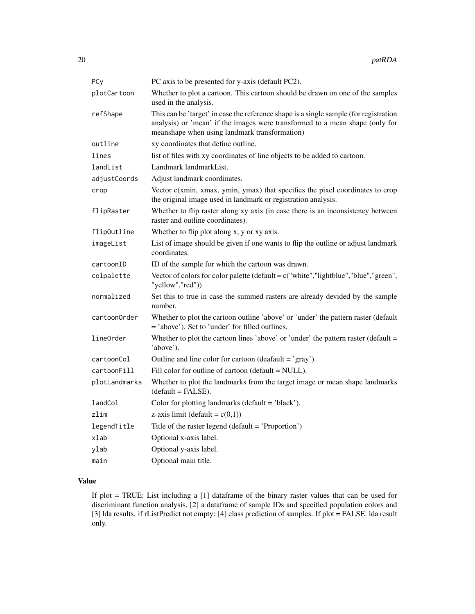| PCy           | PC axis to be presented for y-axis (default PC2).                                                                                                                                                                      |
|---------------|------------------------------------------------------------------------------------------------------------------------------------------------------------------------------------------------------------------------|
| plotCartoon   | Whether to plot a cartoon. This cartoon should be drawn on one of the samples<br>used in the analysis.                                                                                                                 |
| refShape      | This can be 'target' in case the reference shape is a single sample (for registration<br>analysis) or 'mean' if the images were transformed to a mean shape (only for<br>meanshape when using landmark transformation) |
| outline       | xy coordinates that define outline.                                                                                                                                                                                    |
| lines         | list of files with xy coordinates of line objects to be added to cartoon.                                                                                                                                              |
| landList      | Landmark landmarkList.                                                                                                                                                                                                 |
| adjustCoords  | Adjust landmark coordinates.                                                                                                                                                                                           |
| crop          | Vector c(xmin, xmax, ymin, ymax) that specifies the pixel coordinates to crop<br>the original image used in landmark or registration analysis.                                                                         |
| flipRaster    | Whether to flip raster along xy axis (in case there is an inconsistency between<br>raster and outline coordinates).                                                                                                    |
| flipOutline   | Whether to flip plot along x, y or xy axis.                                                                                                                                                                            |
| imageList     | List of image should be given if one wants to flip the outline or adjust landmark<br>coordinates.                                                                                                                      |
| cartoonID     | ID of the sample for which the cartoon was drawn.                                                                                                                                                                      |
| colpalette    | Vector of colors for color palette (default = $c$ ("white", "lightblue", "blue", "green",<br>"yellow","red"))                                                                                                          |
| normalized    | Set this to true in case the summed rasters are already devided by the sample<br>number.                                                                                                                               |
| cartoonOrder  | Whether to plot the cartoon outline 'above' or 'under' the pattern raster (default<br>= 'above'). Set to 'under' for filled outlines.                                                                                  |
| lineOrder     | Whether to plot the cartoon lines 'above' or 'under' the pattern raster (default $=$<br>'above').                                                                                                                      |
| cartoonCol    | Outline and line color for cartoon (deafault $=$ 'gray').                                                                                                                                                              |
| cartoonFill   | Fill color for outline of cartoon (default = NULL).                                                                                                                                                                    |
| plotLandmarks | Whether to plot the landmarks from the target image or mean shape landmarks<br>$(detault = FALSE).$                                                                                                                    |
| landCol       | Color for plotting landmarks (default = 'black').                                                                                                                                                                      |
| zlim          | z-axis limit (default = $c(0,1)$ )                                                                                                                                                                                     |
| legendTitle   | Title of the raster legend (default = 'Proportion')                                                                                                                                                                    |
| xlab          | Optional x-axis label.                                                                                                                                                                                                 |
| ylab          | Optional y-axis label.                                                                                                                                                                                                 |
| main          | Optional main title.                                                                                                                                                                                                   |

# Value

If plot = TRUE: List including a [1] dataframe of the binary raster values that can be used for discriminant function analysis, [2] a dataframe of sample IDs and specified population colors and [3] lda results. if rListPredict not empty: [4] class prediction of samples. If plot = FALSE: lda result only.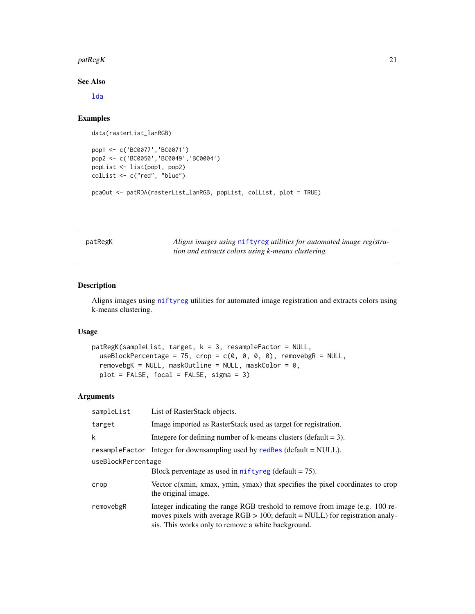#### <span id="page-20-0"></span> $p_1$ atReg $K$  21

#### See Also

[lda](#page-0-0)

# Examples

```
data(rasterList_lanRGB)
```

```
pop1 <- c('BC0077','BC0071')
pop2 <- c('BC0050','BC0049','BC0004')
popList <- list(pop1, pop2)
colList <- c("red", "blue")
```

```
pcaOut <- patRDA(rasterList_lanRGB, popList, colList, plot = TRUE)
```
patRegK *Aligns images using* [niftyreg](#page-0-0) *utilities for automated image registration and extracts colors using k-means clustering.*

# Description

Aligns images using [niftyreg](#page-0-0) utilities for automated image registration and extracts colors using k-means clustering.

# Usage

```
patRegK(sampleList, target, k = 3, resampleFactor = NULL,
 useBlockPercentage = 75, crop = c(0, 0, 0, 0), removebgR = NULL,
  removebgK = NULL, maskOutline = NULL, maskColor = 0,plot = FALSE, focal = FALSE, sigma = 3)
```

| sampleList         | List of RasterStack objects.                                                                                                                                                                                          |
|--------------------|-----------------------------------------------------------------------------------------------------------------------------------------------------------------------------------------------------------------------|
| target             | Image imported as RasterStack used as target for registration.                                                                                                                                                        |
| k                  | Integere for defining number of k-means clusters (default $= 3$ ).                                                                                                                                                    |
|                    | resampleFactor Integer for downsampling used by redRes (default = NULL).                                                                                                                                              |
| useBlockPercentage |                                                                                                                                                                                                                       |
|                    | Block percentage as used in $n$ if tyreg (default = 75).                                                                                                                                                              |
| crop               | Vector $c(xmin, xmax, ymin, ymax)$ that specifies the pixel coordinates to crop<br>the original image.                                                                                                                |
| removebgR          | Integer indicating the range RGB treshold to remove from image (e.g. 100 re-<br>moves pixels with average $RGB > 100$ ; default = NULL) for registration analy-<br>sis. This works only to remove a white background. |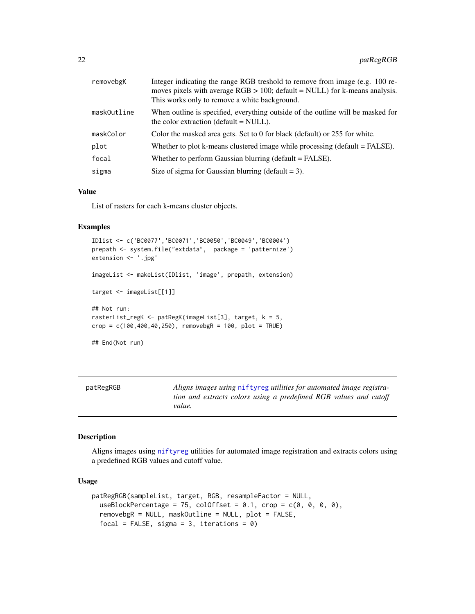<span id="page-21-0"></span>

| removebgK   | Integer indicating the range RGB treshold to remove from image (e.g. 100 re-<br>moves pixels with average $RGB > 100$ ; default = NULL) for k-means analysis.<br>This works only to remove a white background. |
|-------------|----------------------------------------------------------------------------------------------------------------------------------------------------------------------------------------------------------------|
| maskOutline | When outline is specified, everything outside of the outline will be masked for<br>the color extraction (default $=$ NULL).                                                                                    |
| maskColor   | Color the masked area gets. Set to 0 for black (default) or 255 for white.                                                                                                                                     |
| plot        | Whether to plot k-means clustered image while processing (default $=$ FALSE).                                                                                                                                  |
| focal       | Whether to perform Gaussian blurring (default = FALSE).                                                                                                                                                        |
| sigma       | Size of sigma for Gaussian blurring (default $= 3$ ).                                                                                                                                                          |

#### Value

List of rasters for each k-means cluster objects.

#### Examples

```
IDlist <- c('BC0077','BC0071','BC0050','BC0049','BC0004')
prepath <- system.file("extdata", package = 'patternize')
extension <- '.jpg'
imageList <- makeList(IDlist, 'image', prepath, extension)
target <- imageList[[1]]
## Not run:
rasterList_regK <- patRegK(imageList[3], target, k = 5,
crop = c(100, 400, 40, 250), removebgR = 100, plot = TRUE)
## End(Not run)
```

| patRegRGB | Aligns images using niftyreg utilities for automated image registra- |
|-----------|----------------------------------------------------------------------|
|           | tion and extracts colors using a predefined RGB values and cutoff    |
|           | value.                                                               |

# Description

Aligns images using [niftyreg](#page-0-0) utilities for automated image registration and extracts colors using a predefined RGB values and cutoff value.

#### Usage

```
patRegRGB(sampleList, target, RGB, resampleFactor = NULL,
 useBlockPercentage = 75, colOffset = 0.1, crop = c(0, 0, 0, 0),
  removebgR = NULL, maskOutline = NULL, plot = FALSE,
  focal = FALSE, sigma = 3, iterations = 0)
```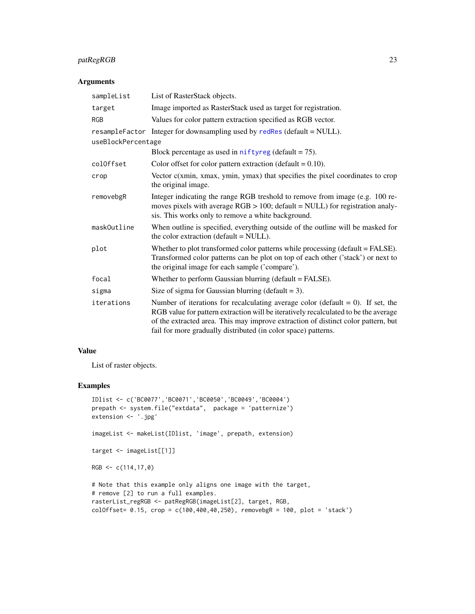# <span id="page-22-0"></span>patRegRGB 23

# Arguments

| sampleList         | List of RasterStack objects.                                                                                                                                                                                                                                                                                                     |
|--------------------|----------------------------------------------------------------------------------------------------------------------------------------------------------------------------------------------------------------------------------------------------------------------------------------------------------------------------------|
| target             | Image imported as RasterStack used as target for registration.                                                                                                                                                                                                                                                                   |
| <b>RGB</b>         | Values for color pattern extraction specified as RGB vector.                                                                                                                                                                                                                                                                     |
|                    | resampleFactor Integer for downsampling used by redRes (default = NULL).                                                                                                                                                                                                                                                         |
| useBlockPercentage |                                                                                                                                                                                                                                                                                                                                  |
|                    | Block percentage as used in niftyreg (default $= 75$ ).                                                                                                                                                                                                                                                                          |
| colOffset          | Color offset for color pattern extraction (default $= 0.10$ ).                                                                                                                                                                                                                                                                   |
| crop               | Vector $c(xmin, xmax, ymin, ymax)$ that specifies the pixel coordinates to crop<br>the original image.                                                                                                                                                                                                                           |
| removebgR          | Integer indicating the range RGB treshold to remove from image (e.g. 100 re-<br>moves pixels with average $RGB > 100$ ; default = NULL) for registration analy-<br>sis. This works only to remove a white background.                                                                                                            |
| maskOutline        | When outline is specified, everything outside of the outline will be masked for<br>the color extraction (default = NULL).                                                                                                                                                                                                        |
| plot               | Whether to plot transformed color patterns while processing (default = FALSE).<br>Transformed color patterns can be plot on top of each other ('stack') or next to<br>the original image for each sample ('compare').                                                                                                            |
| focal              | Whether to perform Gaussian blurring (default = FALSE).                                                                                                                                                                                                                                                                          |
| sigma              | Size of sigma for Gaussian blurring (default = 3).                                                                                                                                                                                                                                                                               |
| iterations         | Number of iterations for recalculating average color (default $= 0$ ). If set, the<br>RGB value for pattern extraction will be iteratively recalculated to be the average<br>of the extracted area. This may improve extraction of distinct color pattern, but<br>fail for more gradually distributed (in color space) patterns. |

# Value

List of raster objects.

```
IDlist <- c('BC0077','BC0071','BC0050','BC0049','BC0004')
prepath <- system.file("extdata", package = 'patternize')
extension <- '.jpg'
imageList <- makeList(IDlist, 'image', prepath, extension)
target <- imageList[[1]]
RGB < -c(114, 17, 0)# Note that this example only aligns one image with the target,
# remove [2] to run a full examples.
rasterList_regRGB <- patRegRGB(imageList[2], target, RGB,
colOffset= 0.15, crop = c(100,400,40,250), removebgR = 100, plot = 'stack')
```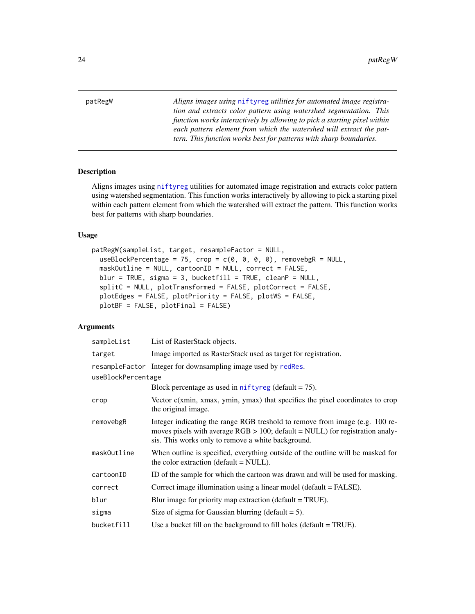<span id="page-23-0"></span>patRegW *Aligns images using* [niftyreg](#page-0-0) *utilities for automated image registration and extracts color pattern using watershed segmentation. This function works interactively by allowing to pick a starting pixel within each pattern element from which the watershed will extract the pattern. This function works best for patterns with sharp boundaries.*

# Description

Aligns images using [niftyreg](#page-0-0) utilities for automated image registration and extracts color pattern using watershed segmentation. This function works interactively by allowing to pick a starting pixel within each pattern element from which the watershed will extract the pattern. This function works best for patterns with sharp boundaries.

# Usage

```
patRegW(sampleList, target, resampleFactor = NULL,
  useBlockPercentage = 75, crop = c(\emptyset, \emptyset, \emptyset, \emptyset), removebgR = NULL,
  maskOutline = NULL, cartoonID = NULL, correct = FALSE,
  blur = TRUE, sigma = 3, bucketfill = TRUE, cleanP = NULL,
  splitC = NULL, plotTransformed = FALSE, plotCorrect = FALSE,
  plotEdges = FALSE, plotPriority = FALSE, plotWS = FALSE,
  plotBF = FALSE, plotFinal = FALSE)
```

| sampleList         | List of RasterStack objects.                                                                                                                                                                                          |  |
|--------------------|-----------------------------------------------------------------------------------------------------------------------------------------------------------------------------------------------------------------------|--|
| target             | Image imported as RasterStack used as target for registration.                                                                                                                                                        |  |
|                    | resampleFactor Integer for downsampling image used by redRes.                                                                                                                                                         |  |
| useBlockPercentage |                                                                                                                                                                                                                       |  |
|                    | Block percentage as used in $n$ if tyreg (default = 75).                                                                                                                                                              |  |
| crop               | Vector $c(xmin, xmax, ymin, ymax)$ that specifies the pixel coordinates to crop<br>the original image.                                                                                                                |  |
| removebgR          | Integer indicating the range RGB treshold to remove from image (e.g. 100 re-<br>moves pixels with average $RGB > 100$ ; default = NULL) for registration analy-<br>sis. This works only to remove a white background. |  |
| maskOutline        | When outline is specified, everything outside of the outline will be masked for<br>the color extraction (default = NULL).                                                                                             |  |
| cartoonID          | ID of the sample for which the cartoon was drawn and will be used for masking.                                                                                                                                        |  |
| correct            | Correct image illumination using a linear model (default = FALSE).                                                                                                                                                    |  |
| blur               | Blur image for priority map extraction ( $default = TRUE$ ).                                                                                                                                                          |  |
| sigma              | Size of sigma for Gaussian blurring (default $= 5$ ).                                                                                                                                                                 |  |
| bucketfill         | Use a bucket fill on the background to fill holes (default $= TRUE$ ).                                                                                                                                                |  |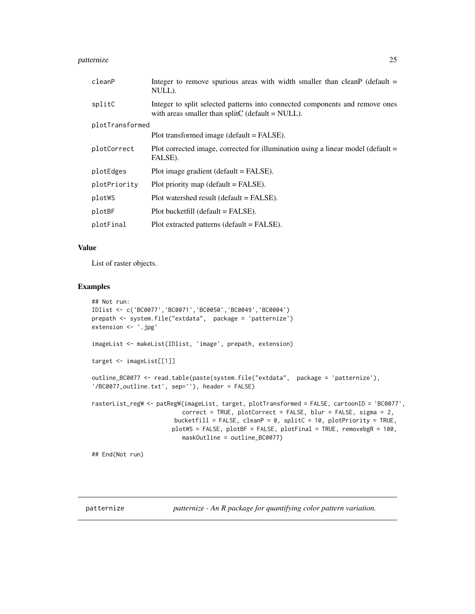#### <span id="page-24-0"></span>patternize 25

| cleanP          | Integer to remove spurious areas with width smaller than cleanP (default $=$<br>NULL).                                              |  |
|-----------------|-------------------------------------------------------------------------------------------------------------------------------------|--|
| splitC          | Integer to split selected patterns into connected components and remove ones<br>with areas smaller than split $C$ (default = NULL). |  |
| plotTransformed |                                                                                                                                     |  |
|                 | Plot transformed image (default = FALSE).                                                                                           |  |
| plotCorrect     | Plot corrected image, corrected for illumination using a linear model (default $=$<br>FALSE).                                       |  |
| plotEdges       | Plot image gradient (default $=$ FALSE).                                                                                            |  |
| plotPriority    | Plot priority map (default $=$ FALSE).                                                                                              |  |
| plotWS          | Plot watershed result (default = FALSE).                                                                                            |  |
| plotBF          | $Plot \text{ bucketfill}$ (default = FALSE).                                                                                        |  |
| plotFinal       | Plot extracted patterns (default = FALSE).                                                                                          |  |
|                 |                                                                                                                                     |  |

# Value

List of raster objects.

# Examples

```
## Not run:
IDlist <- c('BC0077','BC0071','BC0050','BC0049','BC0004')
prepath <- system.file("extdata", package = 'patternize')
extension <- '.jpg'
imageList <- makeList(IDlist, 'image', prepath, extension)
target <- imageList[[1]]
outline_BC0077 <- read.table(paste(system.file("extdata", package = 'patternize'),
'/BC0077_outline.txt', sep=''), header = FALSE)
rasterList_regW <- patRegW(imageList, target, plotTransformed = FALSE, cartoonID = 'BC0077',
                          correct = TRUE, plotCorrect = FALSE, blur = FALSE, sigma = 2,
                        bucketfill = FALSE, cleanP = 0, splitC = 10, plotPriority = TRUE,
                       plotWS = FALSE, plotBF = FALSE, plotFinal = TRUE, removebgR = 100,
                          maskOutline = outline_BC0077)
## End(Not run)
```
patternize *patternize - An R package for quantifying color pattern variation.*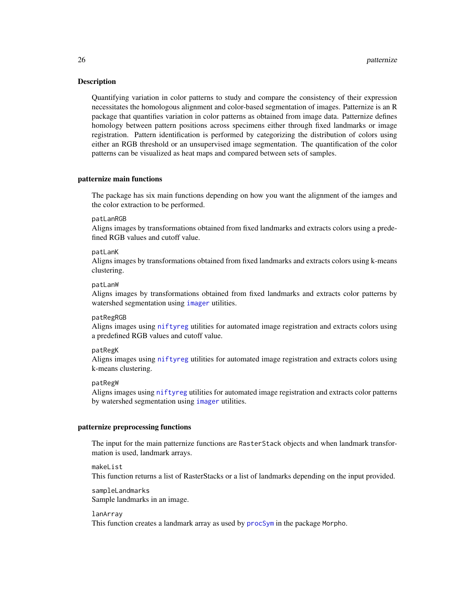#### <span id="page-25-0"></span>Description

Quantifying variation in color patterns to study and compare the consistency of their expression necessitates the homologous alignment and color-based segmentation of images. Patternize is an R package that quantifies variation in color patterns as obtained from image data. Patternize defines homology between pattern positions across specimens either through fixed landmarks or image registration. Pattern identification is performed by categorizing the distribution of colors using either an RGB threshold or an unsupervised image segmentation. The quantification of the color patterns can be visualized as heat maps and compared between sets of samples.

#### patternize main functions

The package has six main functions depending on how you want the alignment of the iamges and the color extraction to be performed.

#### patLanRGB

Aligns images by transformations obtained from fixed landmarks and extracts colors using a predefined RGB values and cutoff value.

#### patLanK

Aligns images by transformations obtained from fixed landmarks and extracts colors using k-means clustering.

#### patLanW

Aligns images by transformations obtained from fixed landmarks and extracts color patterns by watershed segmentation using [imager](#page-0-0) utilities.

#### patRegRGB

Aligns images using [niftyreg](#page-0-0) utilities for automated image registration and extracts colors using a predefined RGB values and cutoff value.

#### patRegK

Aligns images using [niftyreg](#page-0-0) utilities for automated image registration and extracts colors using k-means clustering.

#### patRegW

Aligns images using [niftyreg](#page-0-0) utilities for automated image registration and extracts color patterns by watershed segmentation using [imager](#page-0-0) utilities.

#### patternize preprocessing functions

The input for the main patternize functions are RasterStack objects and when landmark transformation is used, landmark arrays.

#### makeList

This function returns a list of RasterStacks or a list of landmarks depending on the input provided.

sampleLandmarks Sample landmarks in an image.

#### lanArray

This function creates a landmark array as used by [procSym](#page-0-0) in the package Morpho.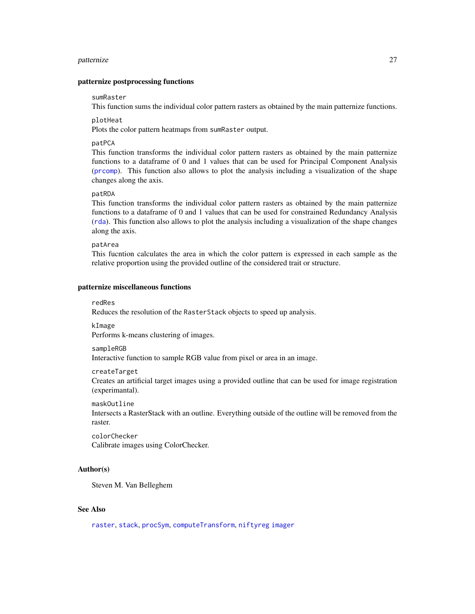#### <span id="page-26-0"></span>patternize 27

#### patternize postprocessing functions

#### sumRaster

This function sums the individual color pattern rasters as obtained by the main patternize functions.

#### plotHeat

Plots the color pattern heatmaps from sumRaster output.

#### patPCA

This function transforms the individual color pattern rasters as obtained by the main patternize functions to a dataframe of 0 and 1 values that can be used for Principal Component Analysis ([prcomp](#page-0-0)). This function also allows to plot the analysis including a visualization of the shape changes along the axis.

#### patRDA

This function transforms the individual color pattern rasters as obtained by the main patternize functions to a dataframe of 0 and 1 values that can be used for constrained Redundancy Analysis ([rda](#page-0-0)). This function also allows to plot the analysis including a visualization of the shape changes along the axis.

#### patArea

This fucntion calculates the area in which the color pattern is expressed in each sample as the relative proportion using the provided outline of the considered trait or structure.

#### patternize miscellaneous functions

#### redRes

Reduces the resolution of the RasterStack objects to speed up analysis.

#### kImage

Performs k-means clustering of images.

#### sampleRGB

Interactive function to sample RGB value from pixel or area in an image.

#### createTarget

Creates an artificial target images using a provided outline that can be used for image registration (experimantal).

#### maskOutline

Intersects a RasterStack with an outline. Everything outside of the outline will be removed from the raster.

colorChecker Calibrate images using ColorChecker.

#### Author(s)

Steven M. Van Belleghem

#### See Also

[raster](#page-0-0), [stack](#page-0-0), [procSym](#page-0-0), [computeTransform](#page-0-0), [niftyreg](#page-0-0) [imager](#page-0-0)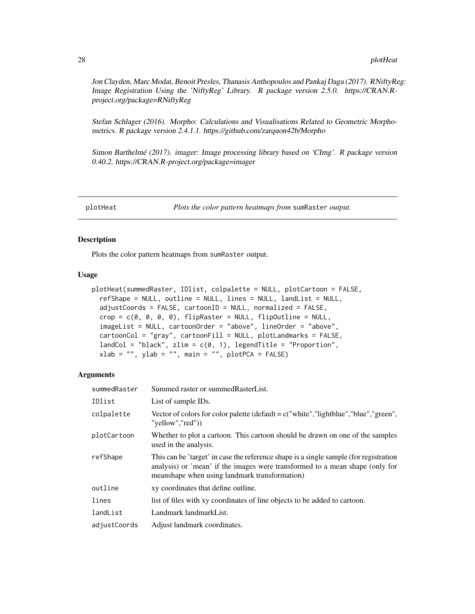<span id="page-27-0"></span>Jon Clayden, Marc Modat, Benoit Presles, Thanasis Anthopoulos and Pankaj Daga (2017). RNiftyReg: Image Registration Using the 'NiftyReg' Library. R package version 2.5.0. https://CRAN.Rproject.org/package=RNiftyReg

Stefan Schlager (2016). Morpho: Calculations and Visualisations Related to Geometric Morphometrics. R package version 2.4.1.1. https://github.com/zarquon42b/Morpho

Simon Barthelmé (2017). imager: Image processing library based on 'CImg'. R package version 0.40.2. https://CRAN.R-project.org/package=imager

plotHeat *Plots the color pattern heatmaps from* sumRaster *output.*

#### Description

Plots the color pattern heatmaps from sumRaster output.

#### Usage

```
plotHeat(summedRaster, IDlist, colpalette = NULL, plotCartoon = FALSE,
  refShape = NULL, outline = NULL, lines = NULL, landList = NULL,
  adjustCoords = FALSE, cartoonID = NULL, normalized = FALSE,
  crop = c(0, 0, 0, 0), flipRaster = NULL, flipOutline = NULL,
  imageList = NULL, cartoonOrder = "above", lineOrder = "above",
  cartoonCol = "gray", cartoonFill = NULL, plotLandmarks = FALSE,
  landCol = "black", zlim = c(0, 1), legendTitle = "Proportion",xlab = "", ylab = "", main = "", plotPCA = FALSE)
```

| summedRaster | Summed raster or summed Raster List.                                                                                                                                                                                   |
|--------------|------------------------------------------------------------------------------------------------------------------------------------------------------------------------------------------------------------------------|
| IDlist       | List of sample IDs.                                                                                                                                                                                                    |
| colpalette   | Vector of colors for color palette (default = $c$ "white", "lightblue", "blue", "green",<br>"yellow","red")                                                                                                            |
| plotCartoon  | Whether to plot a cartoon. This cartoon should be drawn on one of the samples<br>used in the analysis.                                                                                                                 |
| refShape     | This can be 'target' in case the reference shape is a single sample (for registration<br>analysis) or 'mean' if the images were transformed to a mean shape (only for<br>meanshape when using landmark transformation) |
| outline      | xy coordinates that define outline.                                                                                                                                                                                    |
| lines        | list of files with xy coordinates of line objects to be added to cartoon.                                                                                                                                              |
| landList     | Landmark landmarkList.                                                                                                                                                                                                 |
| adjustCoords | Adjust landmark coordinates.                                                                                                                                                                                           |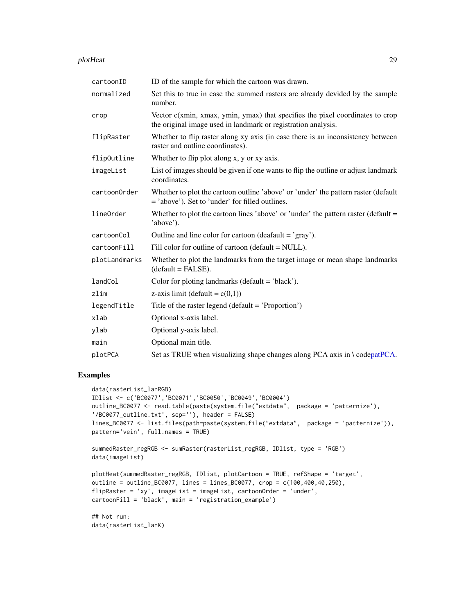#### <span id="page-28-0"></span>plotHeat 29

| cartoonID     | ID of the sample for which the cartoon was drawn.                                                                                                |
|---------------|--------------------------------------------------------------------------------------------------------------------------------------------------|
| normalized    | Set this to true in case the summed rasters are already devided by the sample<br>number.                                                         |
| crop          | Vector $c(xmin, xmax, ymin, ymax)$ that specifies the pixel coordinates to crop<br>the original image used in landmark or registration analysis. |
| flipRaster    | Whether to flip raster along xy axis (in case there is an inconsistency between<br>raster and outline coordinates).                              |
| flipOutline   | Whether to flip plot along x, y or xy axis.                                                                                                      |
| imageList     | List of images should be given if one wants to flip the outline or adjust landmark<br>coordinates.                                               |
| cartoonOrder  | Whether to plot the cartoon outline 'above' or 'under' the pattern raster (default<br>= 'above'). Set to 'under' for filled outlines.            |
| lineOrder     | Whether to plot the cartoon lines 'above' or 'under' the pattern raster (default $=$<br>'above').                                                |
| cartoonCol    | Outline and line color for cartoon (deafault = $'$ gray').                                                                                       |
| cartoonFill   | Fill color for outline of cartoon (default = NULL).                                                                                              |
| plotLandmarks | Whether to plot the landmarks from the target image or mean shape landmarks<br>$(default = FALSE).$                                              |
| landCol       | Color for ploting landmarks (default $=$ 'black').                                                                                               |
| zlim          | z-axis limit (default = $c(0,1)$ )                                                                                                               |
| legendTitle   | Title of the raster legend (default $=$ 'Proportion')                                                                                            |
| xlab          | Optional x-axis label.                                                                                                                           |
| ylab          | Optional y-axis label.                                                                                                                           |
| main          | Optional main title.                                                                                                                             |
| plotPCA       | Set as TRUE when visualizing shape changes along PCA axis in \codepatPCA.                                                                        |

# Examples

```
data(rasterList_lanRGB)
IDlist <- c('BC0077','BC0071','BC0050','BC0049','BC0004')
outline_BC0077 <- read.table(paste(system.file("extdata", package = 'patternize'),
'/BC0077_outline.txt', sep=''), header = FALSE)
lines_BC0077 <- list.files(path=paste(system.file("extdata", package = 'patternize')),
pattern='vein', full.names = TRUE)
summedRaster_regRGB <- sumRaster(rasterList_regRGB, IDlist, type = 'RGB')
data(imageList)
plotHeat(summedRaster_regRGB, IDlist, plotCartoon = TRUE, refShape = 'target',
outline = outline_BC0077, lines = lines_BC0077, crop = c(100,400,40,250),
flipRaster = 'xy', imageList = imageList, cartoonOrder = 'under',
cartoonFill = 'black', main = 'registration_example')
## Not run:
```
data(rasterList\_lanK)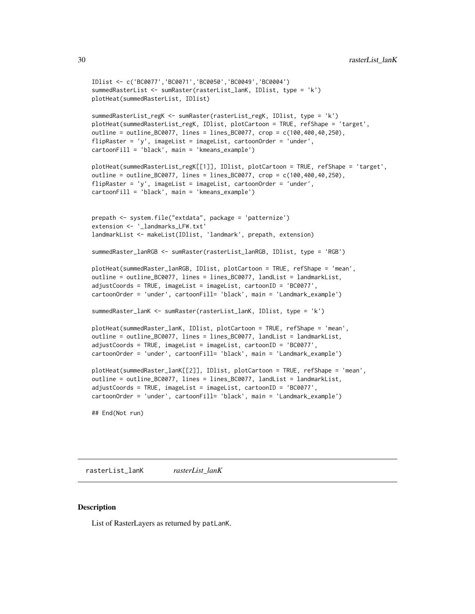```
IDlist <- c('BC0077','BC0071','BC0050','BC0049','BC0004')
summedRasterList <- sumRaster(rasterList_lanK, IDlist, type = 'k')
plotHeat(summedRasterList, IDlist)
summedRasterList_regK <- sumRaster(rasterList_regK, IDlist, type = 'k')
plotHeat(summedRasterList_regK, IDlist, plotCartoon = TRUE, refShape = 'target',
outline = outline_BC0077, lines = lines_BC0077, crop = c(100,400,40,250),
flipRaster = 'y', imageList = imageList, cartoonOrder = 'under',
cartoonFill = 'black', main = 'kmeans_example')
plotHeat(summedRasterList_regK[[1]], IDlist, plotCartoon = TRUE, refShape = 'target',
outline = outline_BC0077, lines = lines_BC0077, crop = c(100,400,40,250),
flipRaster = 'y', imageList = imageList, cartoonOrder = 'under',
cartoonFill = 'black', main = 'kmeans_example')
prepath <- system.file("extdata", package = 'patternize')
extension <- '_landmarks_LFW.txt'
landmarkList <- makeList(IDlist, 'landmark', prepath, extension)
summedRaster_lanRGB <- sumRaster(rasterList_lanRGB, IDlist, type = 'RGB')
plotHeat(summedRaster_lanRGB, IDlist, plotCartoon = TRUE, refShape = 'mean',
outline = outline_BC0077, lines = lines_BC0077, landList = landmarkList,
adjustCoords = TRUE, imageList = imageList, cartoonID = 'BC0077',
cartoonOrder = 'under', cartoonFill= 'black', main = 'Landmark_example')
summedRaster_lanK <- sumRaster(rasterList_lanK, IDlist, type = 'k')
plotHeat(summedRaster_lanK, IDlist, plotCartoon = TRUE, refShape = 'mean',
outline = outline_BC0077, lines = lines_BC0077, landList = landmarkList,
adjustCoords = TRUE, imageList = imageList, cartoonID = 'BC0077',
cartoonOrder = 'under', cartoonFill= 'black', main = 'Landmark_example')
plotHeat(summedRaster_lanK[[2]], IDlist, plotCartoon = TRUE, refShape = 'mean',
outline = outline_BC0077, lines = lines_BC0077, landList = landmarkList,
adjustCoords = TRUE, imageList = imageList, cartoonID = 'BC0077',
cartoonOrder = 'under', cartoonFill= 'black', main = 'Landmark_example')
```
## End(Not run)

rasterList\_lanK *rasterList\_lanK*

#### **Description**

List of RasterLayers as returned by patLanK.

<span id="page-29-0"></span>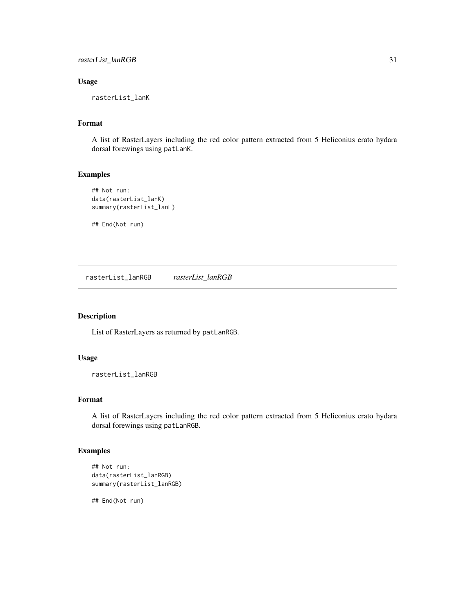# <span id="page-30-0"></span>Usage

rasterList\_lanK

# Format

A list of RasterLayers including the red color pattern extracted from 5 Heliconius erato hydara dorsal forewings using patLanK.

#### Examples

```
## Not run:
data(rasterList_lanK)
summary(rasterList_lanL)
```
## End(Not run)

rasterList\_lanRGB *rasterList\_lanRGB*

# Description

List of RasterLayers as returned by patLanRGB.

# Usage

rasterList\_lanRGB

#### Format

A list of RasterLayers including the red color pattern extracted from 5 Heliconius erato hydara dorsal forewings using patLanRGB.

# Examples

```
## Not run:
data(rasterList_lanRGB)
summary(rasterList_lanRGB)
```
## End(Not run)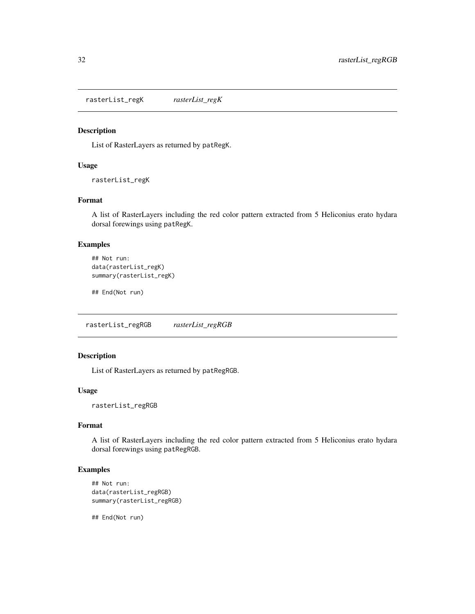<span id="page-31-0"></span>rasterList\_regK *rasterList\_regK*

#### Description

List of RasterLayers as returned by patRegK.

#### Usage

rasterList\_regK

# Format

A list of RasterLayers including the red color pattern extracted from 5 Heliconius erato hydara dorsal forewings using patRegK.

# Examples

```
## Not run:
data(rasterList_regK)
summary(rasterList_regK)
```
## End(Not run)

rasterList\_regRGB *rasterList\_regRGB*

#### Description

List of RasterLayers as returned by patRegRGB.

#### Usage

rasterList\_regRGB

#### Format

A list of RasterLayers including the red color pattern extracted from 5 Heliconius erato hydara dorsal forewings using patRegRGB.

#### Examples

```
## Not run:
data(rasterList_regRGB)
summary(rasterList_regRGB)
```
## End(Not run)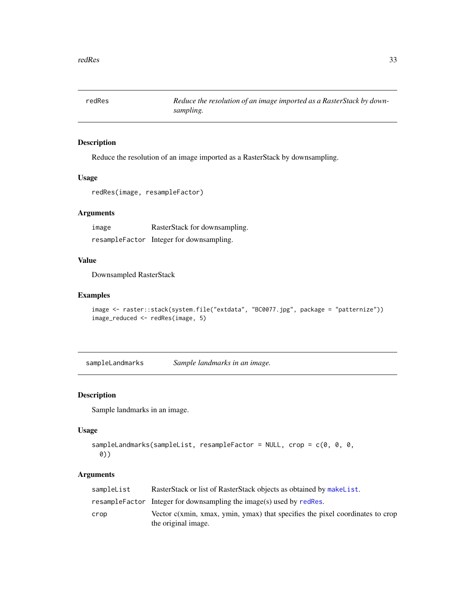<span id="page-32-1"></span><span id="page-32-0"></span>redRes *Reduce the resolution of an image imported as a RasterStack by downsampling.*

#### Description

Reduce the resolution of an image imported as a RasterStack by downsampling.

#### Usage

```
redRes(image, resampleFactor)
```
# Arguments

image RasterStack for downsampling. resampleFactor Integer for downsampling.

# Value

Downsampled RasterStack

# Examples

```
image <- raster::stack(system.file("extdata", "BC0077.jpg", package = "patternize"))
image_reduced <- redRes(image, 5)
```
sampleLandmarks *Sample landmarks in an image.*

#### Description

Sample landmarks in an image.

# Usage

```
sampleLandmarks(sampleList, resampleFactor = NULL, crop = c(0, 0, 0,
 0))
```

| sampleList | RasterStack or list of RasterStack objects as obtained by makeList.                                  |
|------------|------------------------------------------------------------------------------------------------------|
|            | resampleFactor Integer for downsampling the image(s) used by redRes.                                 |
| crop       | Vector c(xmin, xmax, ymin, ymax) that specifies the pixel coordinates to crop<br>the original image. |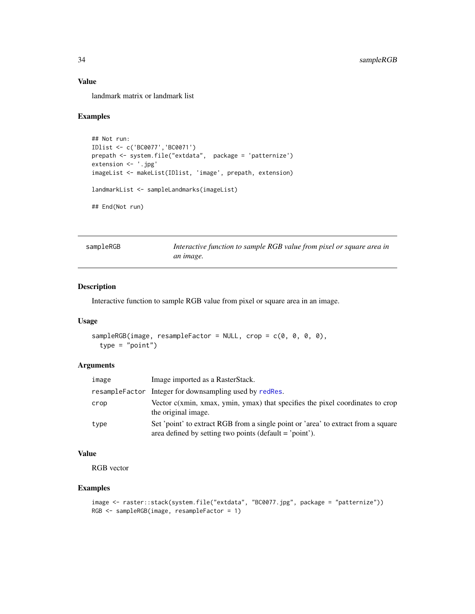# Value

landmark matrix or landmark list

#### Examples

```
## Not run:
IDlist <- c('BC0077','BC0071')
prepath <- system.file("extdata", package = 'patternize')
extension <- '.jpg'
imageList <- makeList(IDlist, 'image', prepath, extension)
landmarkList <- sampleLandmarks(imageList)
## End(Not run)
```
sampleRGB *Interactive function to sample RGB value from pixel or square area in an image.*

### Description

Interactive function to sample RGB value from pixel or square area in an image.

#### Usage

```
sampleRGB(image, resampleFactor = NULL, crop = c(0, 0, 0, 0),
  type = "point")
```
# Arguments

| image | Image imported as a RasterStack.                                                                                                               |
|-------|------------------------------------------------------------------------------------------------------------------------------------------------|
|       | resampleFactor Integer for downsampling used by redRes.                                                                                        |
| crop  | Vector c(xmin, xmax, ymin, ymax) that specifies the pixel coordinates to crop<br>the original image.                                           |
| type  | Set 'point' to extract RGB from a single point or 'area' to extract from a square<br>area defined by setting two points (default $=$ 'point'). |

#### Value

RGB vector

```
image <- raster::stack(system.file("extdata", "BC0077.jpg", package = "patternize"))
RGB <- sampleRGB(image, resampleFactor = 1)
```
<span id="page-33-0"></span>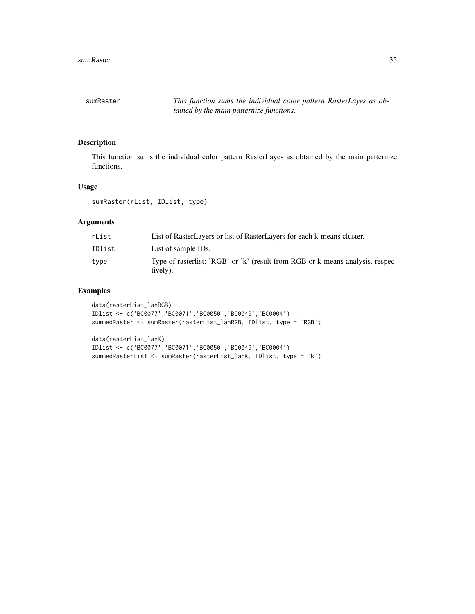<span id="page-34-0"></span>sumRaster *This function sums the individual color pattern RasterLayes as obtained by the main patternize functions.*

# Description

This function sums the individual color pattern RasterLayes as obtained by the main patternize functions.

# Usage

sumRaster(rList, IDlist, type)

# Arguments

| rList  | List of RasterLayers or list of RasterLayers for each k-means cluster.                     |
|--------|--------------------------------------------------------------------------------------------|
| IDlist | List of sample IDs.                                                                        |
| type   | Type of rasterlist; 'RGB' or 'k' (result from RGB or k-means analysis, respec-<br>tively). |

```
data(rasterList_lanRGB)
IDlist <- c('BC0077','BC0071','BC0050','BC0049','BC0004')
summedRaster <- sumRaster(rasterList_lanRGB, IDlist, type = 'RGB')
```

```
data(rasterList_lanK)
IDlist <- c('BC0077','BC0071','BC0050','BC0049','BC0004')
summedRasterList <- sumRaster(rasterList_lanK, IDlist, type = 'k')
```